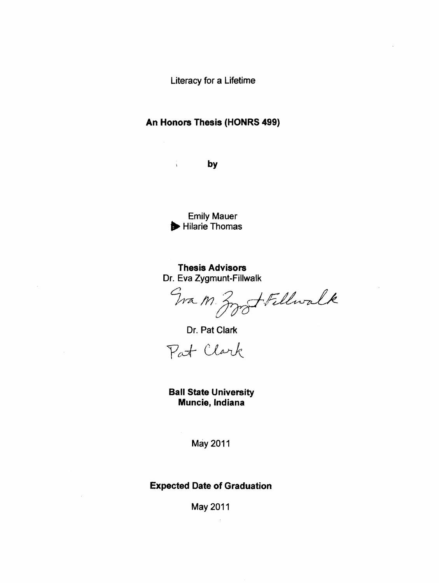Literacy for a Lifetime

# An Honors Thesis (HONRS 499)

**by** 

Emily Mauer ~ Hilarie Thomas

Thesis Advisors Dr. Eva Zygmunt-Fillwalk

Wa M Zzz Fillwalk

Dr. Pat Clark

Pat Clark

Ball State University Muncie, Indiana

May 2011

Expected Date of Graduation

May 2011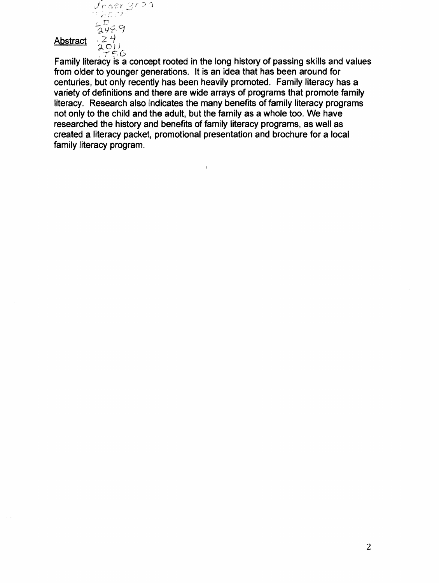

Family literacy is a concept rooted in the long history of passing skills and values from older to younger generations. It is an idea that has been around for centuries, but only recently has been heavily promoted. Family literacy has a variety of definitions and there are wide arrays of programs that promote family literacy. Research also indicates the many benefits of family literacy programs not only to the child and the adult, but the family as a whole too. We have researched the history and benefits of family literacy programs, as well as created a literacy packet, promotional presentation and brochure for a local family literacy program.

 $\mathbf{t}$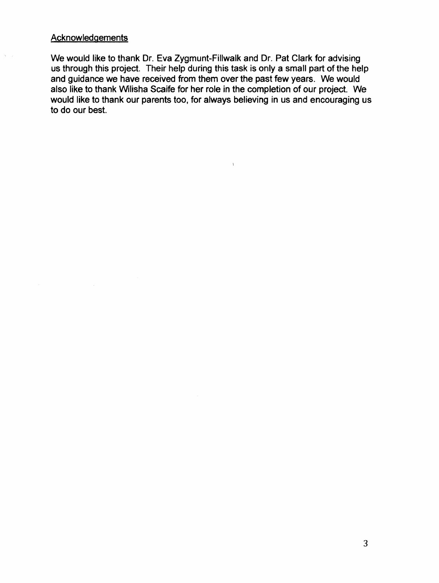# **Acknowledgements**

 $\tilde{Q} = 0$ 

We would like to thank Dr. Eva Zygmunt-Fillwalk and Dr. Pat Clark for advising us through this project. Their help during this task is only a small part of the help and guidance we have received from them over the past few years. We would also like to thank Wilisha Scaife for her role in the completion of our project. We would like to thank our parents too, for always believing in us and encouraging us to do our best.

 $\Lambda$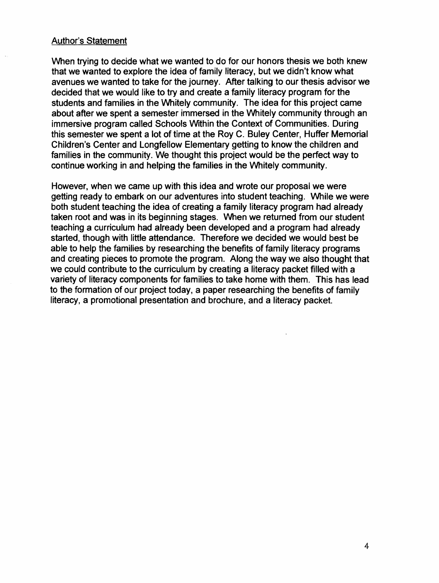### Author's Statement

When trying to decide what we wanted to do for our honors thesis we both knew that we wanted to explore the idea of family literacy, but we didn't know what avenues we wanted to take for the journey. After talking to our thesis advisor we decided that we would like to try and create a family literacy program for the students and families in the Whitely community. The idea for this project came about after we spent a semester immersed in the Whitely community through an immersive program called Schools Within the Context of Communities. During this semester we spent a lot of time at the Roy C. Buley Center, Huffer Memorial Children's Center and Longfellow Elementary getting to know the children and families in the community. We thought this project would be the perfect way to continue working in and helping the families in the Whitely community.

However, when we came up with this idea and wrote our proposal we were getting ready to embark on our adventures into student teaching. While we were both student teaching the idea of creating a family literacy program had already taken root and was in its beginning stages. When we returned from our student teaching a curriculum had already been developed and a program had already started, though with little attendance. Therefore we decided we would best be able to help the families by researching the benefits of family literacy programs and creating pieces to promote the program. Along the way we also thought that we could contribute to the curriculum by creating a literacy packet filled with a variety of literacy components for families to take home with them. This has lead to the formation of our project today, a paper researching the benefits of family literacy, a promotional presentation and brochure, and a literacy packet.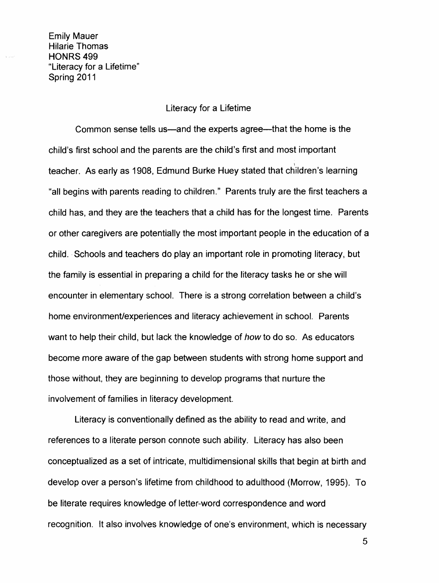Emily Mauer Hilarie Thomas HONRS<sub>499</sub> "Literacy for a Lifetime" Spring 2011

### Literacy for a Lifetime

Common sense tells us—and the experts agree—that the home is the child's first school and the parents are the child's first and most important \ teacher. As early as 1908, Edmund Burke Huey stated that children's learning "all begins with parents reading to children." Parents truly are the first teachers a child has, and they are the teachers that a child has for the longest time. Parents or other caregivers are potentially the most important people in the education of a child. Schools and teachers do play an important role in promoting literacy, but the family is essential in preparing a child for the literacy tasks he or she will encounter in elementary school. There is a strong correlation between a child's home environment/experiences and literacy achievement in school. Parents want to help their child, but lack the knowledge of how to do so. As educators become more aware of the gap between students with strong home support and those without, they are beginning to develop programs that nurture the involvement of families in literacy development.

Literacy is conventionally defined as the ability to read and write, and references to a literate person connote such ability. Literacy has also been conceptualized as a set of intricate, multidimensional skills that begin at birth and develop over a person's lifetime from childhood to adulthood (Morrow, 1995). To be literate requires knowledge of letter-word correspondence and word recognition. It also involves knowledge of one's environment, which is necessary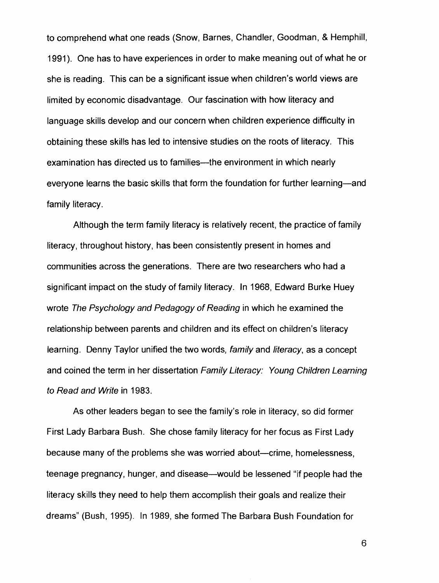to comprehend what one reads (Snow, Barnes, Chandler, Goodman, & Hemphill, 1991). One has to have experiences in order to make meaning out of what he or she is reading. This can be a significant issue when children's world views are limited by economic disadvantage. Our fascination with how literacy and language skills develop and our concern when children experience difficulty in obtaining these skills has led to intensive studies on the roots of literacy. This examination has directed us to families—the environment in which nearly everyone learns the basic skills that form the foundation for further learning—and family literacy.

Although the term family literacy is relatively recent, the practice of family literacy, throughout history, has been consistently present in homes and communities across the generations. There are two researchers who had a significant impact on the study of family literacy. In 1968, Edward Burke Huey wrote The Psychology and Pedagogy of Reading in which he examined the relationship between parents and children and its effect on children's literacy learning. Denny Taylor unified the two words, family and literacy, as a concept and coined the term in her dissertation Family Literacy: Young Children Learning to Read and Write in 1983.

As other leaders began to see the family's role in literacy, so did former First Lady Barbara Bush. She chose family literacy for her focus as First Lady because many of the problems she was worried about—crime, homelessness, teenage pregnancy, hunger, and disease—would be lessened "if people had the literacy skills they need to help them accomplish their goals and realize their dreams" (Bush, 1995). In 1989, she formed The Barbara Bush Foundation for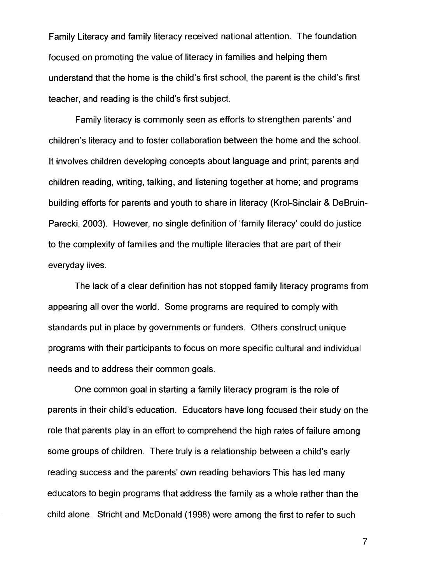Family Literacy and family literacy received national attention. The foundation focused on promoting the value of literacy in families and helping them understand that the home is the child's first school, the parent is the child's first teacher, and reading is the child's first subject.

Family literacy is commonly seen as efforts to strengthen parents' and children's literacy and to foster collaboration between the home and the school. It involves children developing concepts about language and print; parents aqd children reading, writing, talking, and listening together at home; and programs building efforts for parents and youth to share in literacy (Krol-Sinclair & DeBruin-Parecki, 2003). However, no single definition of 'family literacy' could do justice to the complexity of families and the multiple literacies that are part of their everyday lives.

The lack of a clear definition has not stopped family literacy programs from appearing all over the world. Some programs are required to comply with standards put in place by governments or funders. Others construct unique programs with their participants to focus on more specific cultural and individual needs and to address their common goals.

One common goal in starting a family literacy program is the role of parents in their child's education. Educators have long focused their study on the role that parents play in an effort to comprehend the high rates of failure among some groups of children. There truly is a relationship between a child's early reading success and the parents' own reading behaviors This has led many educators to begin programs that address the family as a whole rather than the child alone. Stricht and McDonald (1998) were among the first to refer to such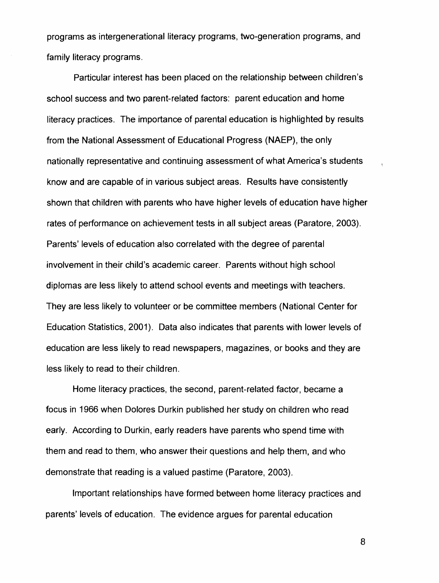programs as intergenerational literacy programs, two-generation programs, and family literacy programs.

Particular interest has been placed on the relationship between children's school success and two parent-related factors: parent education and home literacy practices. The importance of parental education is highlighted by results from the National Assessment of Educational Progress (NAEP), the only nationally representative and continuing assessment of what America's students know and are capable of in various subject areas. Results have consistently shown that children with parents who have higher levels of education have higher rates of performance on achievement tests in all subject areas (Paratore, 2003). Parents' levels of education also correlated with the degree of parental involvement in their child's academic career. Parents without high school diplomas are less likely to attend school events and meetings with teachers. They are less likely to volunteer or be committee members (National Center for Education Statistics, 2001). Data also indicates that parents with lower levels of education are less likely to read newspapers, magazines, or books and they are less likely to read to their children.

Home literacy practices, the second, parent-related factor, became a focus in 1966 when Dolores Durkin published her study on children who read early. According to Durkin, early readers have parents who spend time with them and read to them, who answer their questions and help them, and who demonstrate that reading is a valued pastime (Paratore, 2003).

Important relationships have formed between home literacy practices and parents' levels of education. The evidence argues for parental education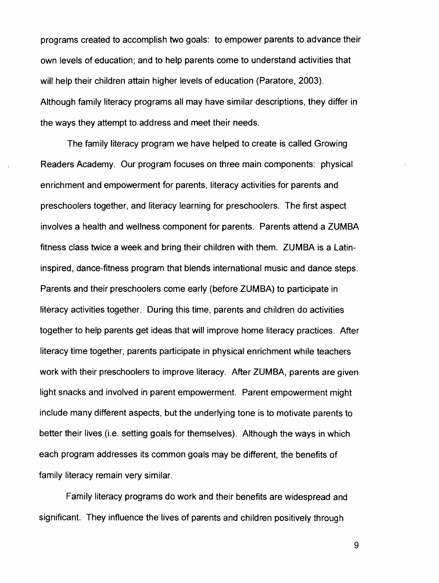programs created to accomplish two goals: to empower parents to advance their own levels of education; and to help parents come to understand activities that will help their children attain higher levels of education (Paratore, 2003). Although family literacy programs all may have similar descriptions, they differ in the ways they attempt to address and meet their needs.

The family literacy program we have helped to create is called Growing Readers Academy. Our program focuses on three main components: physical enrichment and empowerment for parents, literacy activities for parents and preschoolers together, and literacy learning for preschoolers. The first aspect involves a health and wellness component for parents. Parents attend a ZUMBA fitness class twice a week and bring their children with them. ZUMBA is a Latininspired, dance-fitness program that blends international music and dance steps. Parents and their preschoolers come early (before ZUMBA) to participate in literacy activities together. During this time, parents and children do activities together to help parents get ideas that will improve home literacy practices. After literacy time together, parents participate in physical enrichment while teachers work with their preschoolers to improve literacy. After ZUMBA, parents are given light snacks and involved in parent empowerment. Parent empowerment might include many different aspects, but the underlying tone is to motivate parents to better their lives (Le. setting goals for themselves). Although the ways in which each program addresses its common goals may be different, the benefits of family literacy remain very similar.

Family literacy programs do work and their benefits are widespread and significant. They influence the lives of parents and children positively through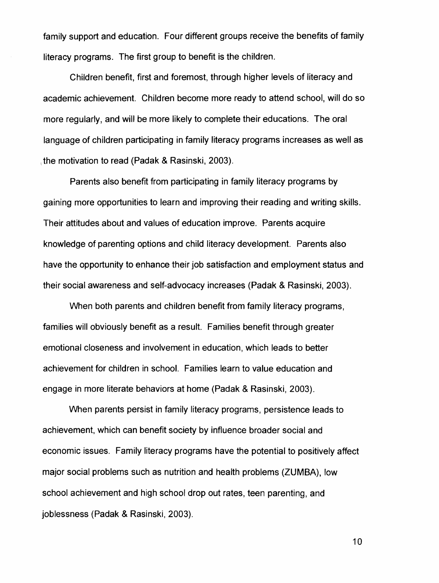family support and education. Four different groups receive the benefits of family literacy programs. The first group to benefit is the children.

Children benefit, first and foremost, through higher levels of literacy and academic achievement. Children become more ready to attend school, will do so more regularly, and will be more likely to complete their educations. The oral language of children participating in family literacy programs increases as well as the motivation to read (Padak & Rasinski, 2003).

Parents also benefit from participating in family literacy programs by gaining more opportunities to learn and improving their reading and writing skills. Their attitudes about and values of education improve. Parents acquire knowledge of parenting options and child literacy development. Parents also have the opportunity to enhance their job satisfaction and employment status and their social awareness and self-advocacy increases (Padak & Rasinski, 2003).

When both parents and children benefit from family literacy programs, families will obviously benefit as a result. Families benefit through greater emotional closeness and involvement in education, which leads to better achievement for children in school. Families learn to value education and engage in more literate behaviors at home (Padak & Rasinski, 2003).

When parents persist in family literacy programs, persistence leads to achievement, which can benefit society by influence broader social and economic issues. Family literacy programs have the potential to positively affect major social problems such as nutrition and health problems (ZUMBA), low school achievement and high school drop out rates, teen parenting, and joblessness (Padak & Rasinski, 2003).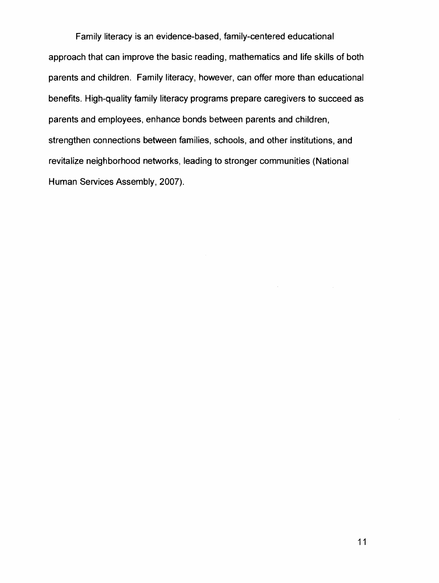Family literacy is an evidence-based, family-centered educational approach that can improve the basic reading, mathematics and life skills of both parents and children. Family literacy, however, can offer more than educational benefits. High-quality family literacy programs prepare caregivers to succeed as parents and employees, enhance bonds between parents and children, strengthen connections between families, schools, and other institutions, and revitalize neighborhood networks, leading to stronger communities (National Human Services Assembly, 2007).

 $\sim$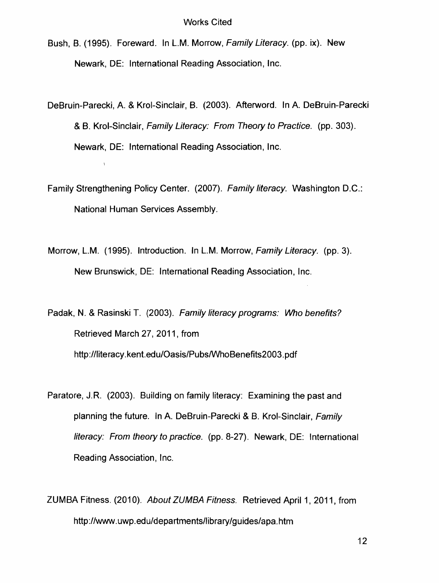- Bush, B. (1995). Foreward. In L.M. Morrow, Family Literacy. (pp. ix). New Newark, DE: International Reading Association, Inc.
- DeBruin-Parecki, A. & Krol-Sinclair, B. (2003). Afterword. In A. DeBruin-Parecki & B. Krol-Sinclair, Family Literacy: From Theory to Practice. (pp.303). Newark, DE: International Reading Association, Inc.
- Family Strengthening Policy Center. (2007). Family literacy. Washington D.C.: National Human Services Assembly.
- Morrow, L.M. (1995). Introduction. In L.M. Morrow, Family Literacy. (pp.3). New Brunswick, DE: International Reading Association, Inc.
- Padak, N. & Rasinski T. (2003). Family literacy programs: Who benefits? Retrieved March 27, 2011, from http://literacy.kent.edu/Oasis/Pubs/WhoBenefits2003.pdf
- Paratore, J.R. (2003). Building on family literacy: Examining the past and planning the future. In A. DeBruin-Parecki & B. Krol-Sinclair, Family literacy: From theory to practice. (pp.8-27). Newark, DE: International Reading Association, Inc.
- ZUMBA Fitness. (2010). About ZUMBA Fitness. Retrieved April 1, 2011, from http://www.uwp.edu/departmentsllibrary/guides/apa.htm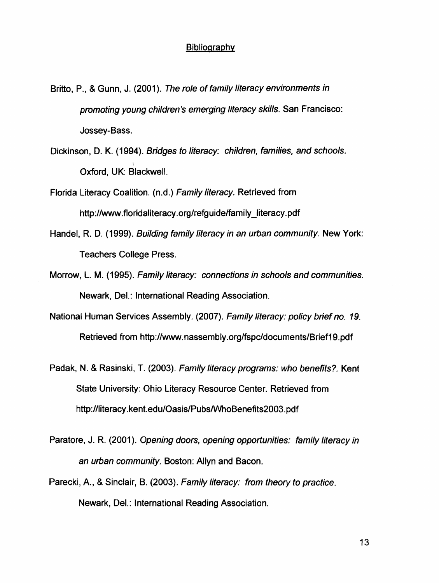#### **Bibliography**

Britto, P., & Gunn, J. (2001). The role of family literacy environments in promoting young children's emerging literacy skills. San Francisco: Jossey-Bass.

Dickinson, D. K. (1994). Bridges to literacy: children, families, and schools. Oxford, UK: Blackwell.

Florida Literacy Coalition. (n.d.) Family literacy. Retrieved from http://www.floridaliteracy.org/refguide/family\_literacy.pdf

- Handel, R. D. (1999). Building family literacy in an urban community. New York: Teachers College Press.
- Morrow, L. M. (1995). Family literacy: connections in schools and communities. Newark, Del.: International Reading Association.
- National Human Services Assembly. (2007). Family literacy: policy brief no. 19. Retrieved from http://www.nassembly.org/fspcldocuments/Brief19.pdf
- Padak, N. & Rasinski, T. (2003). Family literacy programs: who benefits?. Kent State University: Ohio Literacy Resource Center. Retrieved from http://literacy.kent.edu/Oasis/Pubs/WhoBenefits2003.pdf
- Paratore, J. R. (2001). Opening doors, opening opportunities: family literacy in an urban community. Boston: Allyn and Bacon.
- Parecki, A., & Sinclair, B. (2003). Family literacy: from theory to practice. Newark, Del.: International Reading Association.